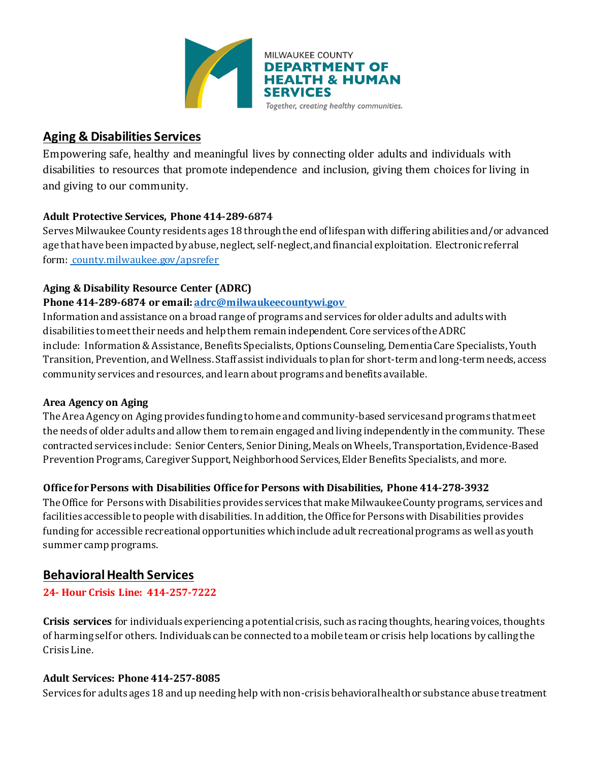

## **Aging & Disabilities Services**

Empowering safe, healthy and meaningful lives by connecting older adults and individuals with disabilities to resources that promote independence and inclusion, giving them choices for living in and giving to our community.

## **Adult Protective Services, Phone 414-289-6874**

Serves Milwaukee County residents ages 18 throughthe end oflifespan with differing abilities and/or advanced age that have been impacted by abuse, neglect, self-neglect,and financial exploitation. Electronic referral form: [county.milwaukee.gov/apsrefer](http://county.milwaukee.gov/apsrefer)

## **Aging & Disability Resource Center (ADRC)**

## **Phone 414-289-6874 or email: [adrc@milwaukeecountywi.gov](mailto:adrc@milwaukeecountywi.gov)**

Information and assistance on a broad range of programs and services for older adults and adultswith disabilities tomeettheir needs and helpthem remain independent. Core services ofthe ADRC include: Information&Assistance, Benefits Specialists, Options Counseling, DementiaCare Specialists, Youth Transition, Prevention, and Wellness. Staff assistindividuals toplan for short-term and long-term needs, access community services and resources, and learn about programs and benefits available.

## **Area Agency on Aging**

The Area Agency on Aging provides funding tohome and community-based servicesand programs thatmeet the needs of older adults and allow them toremain engaged and living independently in the community. These contracted services include: Senior Centers, Senior Dining, Meals on Wheels, Transportation, Evidence-Based Prevention Programs, Caregiver Support, Neighborhood Services, Elder Benefits Specialists, and more.

## **OfficeforPersons with Disabilities Officefor Persons with Disabilities, Phone 414-278-3932**

The Office for Persons with Disabilities provides services that make Milwaukee County programs, services and facilities accessible to people with disabilities. In addition, the Office for Persons with Disabilities provides funding for accessible recreational opportunities which include adult recreational programs as well as youth summer camp programs.

## **Behavioral Health Services**

## **24- Hour Crisis Line: 414-257-7222**

**Crisis services** for individuals experiencing a potential crisis, such as racing thoughts, hearing voices, thoughts of harming self or others. Individuals can be connected to a mobile team or crisis help locations by calling the Crisis Line.

## **Adult Services: Phone 414-257-8085**

Services for adults ages 18 and up needing help with non-crisis behavioral health or substance abuse treatment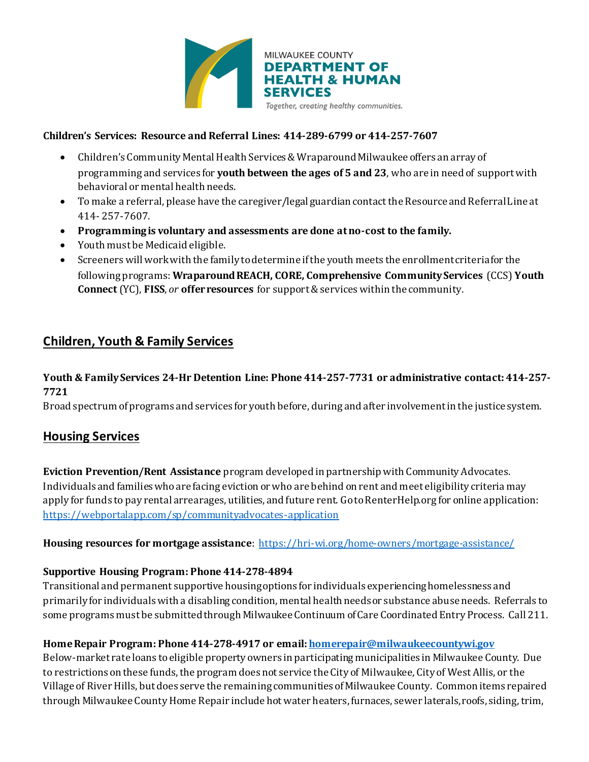

#### **Children's Services: Resource and Referral Lines: 414-289-6799 or 414-257-7607**

- Children's Community Mental Health Services & Wraparound Milwaukee offers an array of programming and services for **youth between the ages of 5 and 23**, who are in need of support with behavioral or mental health needs.
- To make a referral, please have the caregiver/legal guardian contact the Resource and Referral Line at 414- 257-7607.
- **Programming is voluntary and assessments are done at no-cost to the family.**
- Youth must be Medicaid eligible.
- Screeners will work with the family to determine if the youth meets the enrollment criteria for the following programs: **Wraparound REACH, CORE, Comprehensive Community Services** (CCS) **Youth Connect** (YC), **FISS**, *or* **offer resources** for support & services within the community.

## **Children, Youth & Family Services**

## **Youth & Family Services 24-Hr Detention Line: Phone 414-257-7731 or administrative contact: 414-257- 7721**

Broad spectrum of programs and services for youth before, during and after involvement in the justice system.

## **Housing Services**

**Eviction Prevention/Rent Assistance** program developed in partnership with Community Advocates. Individuals and families who are facing eviction or who are behind on rent and meet eligibility criteria may apply for funds to pay rental arrearages, utilities, and future rent. Go to RenterHelp.org for online application: <https://webportalapp.com/sp/communityadvocates-application>

#### **Housing resources for mortgage assistance**:<https://hri-wi.org/home-owners/mortgage-assistance/>

#### **Supportive Housing Program: Phone 414-278-4894**

Transitional and permanent supportive housing options for individuals experiencing homelessness and primarily for individuals with a disabling condition, mental health needs or substance abuse needs. Referrals to some programs must be submitted through Milwaukee Continuum of Care Coordinated Entry Process. Call 211.

## **Home Repair Program: Phone 414-278-4917 or email[: homerepair@milwaukeecountywi.gov](mailto:homerepair@milwaukeecountywi.gov)**

Below-market rate loans to eligible property owners in participating municipalities in Milwaukee County. Due to restrictions on these funds, the program does not service the City of Milwaukee, City of West Allis, or the Village of River Hills, but does serve the remaining communities of Milwaukee County. Common items repaired through Milwaukee County Home Repair include hot water heaters, furnaces, sewer laterals, roofs, siding, trim,